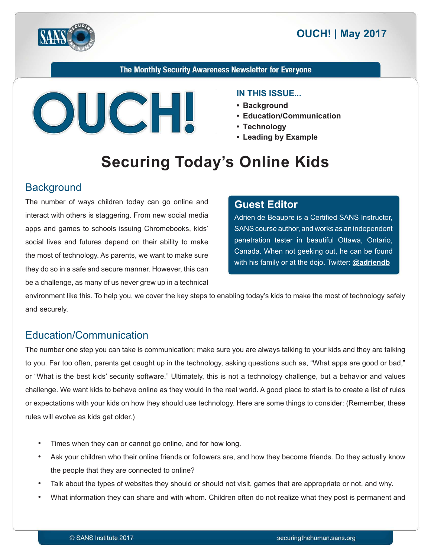



#### The Monthly Security Awareness Newsletter for Everyone



#### **IN THIS ISSUE...**

- **Background•**
- **Communication/Education•**
- **Technology•**
- **Leading by Example**

# **Securing Today's Online Kids**

#### **Background**

The number of ways children today can go online and interact with others is staggering. From new social media apps and games to schools issuing Chromebooks, kids' social lives and futures depend on their ability to make the most of technology. As parents, we want to make sure they do so in a safe and secure manner. However, this can be a challenge, as many of us never grew up in a technical

#### **Editor Guest**

Adrien de Beaupre is a Certified SANS Instructor. SANS course author, and works as an independent penetration tester in beautiful Ottawa, Ontario, Canada. When not geeking out, he can be found with his family or at the dojo. Twitter: **@[adriendb](https://twitter.com/adriendb?lang=en)** 

environment like this. To help you, we cover the key steps to enabling today's kids to make the most of technology safely and securely.

### Education/Communication

The number one step you can take is communication; make sure you are always talking to your kids and they are talking to you. Far too often, parents get caught up in the technology, asking questions such as, "What apps are good or bad," or "What is the best kids' security software." Ultimately, this is not a technology challenge, but a behavior and values challenge. We want kids to behave online as they would in the real world. A good place to start is to create a list of rules or expectations with your kids on how they should use technology. Here are some things to consider: (Remember, these rules will evolve as kids get older.)

- Times when they can or cannot go online, and for how long.
- Ask your children who their online friends or followers are, and how they become friends. Do they actually know the people that they are connected to online?
- Talk about the types of websites they should or should not visit, games that are appropriate or not, and why.
- What information they can share and with whom. Children often do not realize what they post is permanent and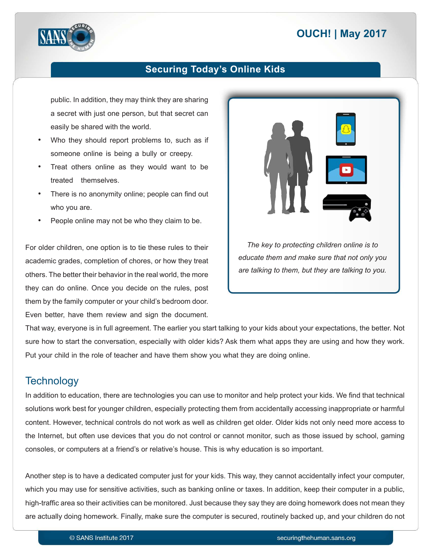## **2017 | OUCH! | May 2017**



### **Securing Today's Online Kids**

public. In addition, they may think they are sharing a secret with just one person, but that secret can easily be shared with the world.

- Who they should report problems to, such as if someone online is being a bully or creepy.
- Treat others online as they would want to be treated themselves.
- There is no anonymity online; people can find out who you are.
- People online may not be who they claim to be.

For older children, one option is to tie these rules to their academic grades, completion of chores, or how they treat others. The better their behavior in the real world, the more they can do online. Once you decide on the rules, post them by the family computer or your child's bedroom door. Even better, have them review and sign the document.



*The key to protecting children online is to educate them and make sure that not only you* are talking to them, but they are talking to you.

That way, everyone is in full agreement. The earlier you start talking to your kids about your expectations, the better. Not sure how to start the conversation, especially with older kids? Ask them what apps they are using and how they work. Put your child in the role of teacher and have them show you what they are doing online.

## **Technology**

In addition to education, there are technologies you can use to monitor and help protect your kids. We find that technical solutions work best for younger children, especially protecting them from accidentally accessing inappropriate or harmful content. However, technical controls do not work as well as children get older. Older kids not only need more access to the Internet, but often use devices that you do not control or cannot monitor, such as those issued by school, gaming consoles, or computers at a friend's or relative's house. This is why education is so important.

Another step is to have a dedicated computer just for your kids. This way, they cannot accidentally infect your computer, which you may use for sensitive activities, such as banking online or taxes. In addition, keep their computer in a public, high-traffic area so their activities can be monitored. Just because they say they are doing homework does not mean they are actually doing homework. Finally, make sure the computer is secured, routinely backed up, and your children do not